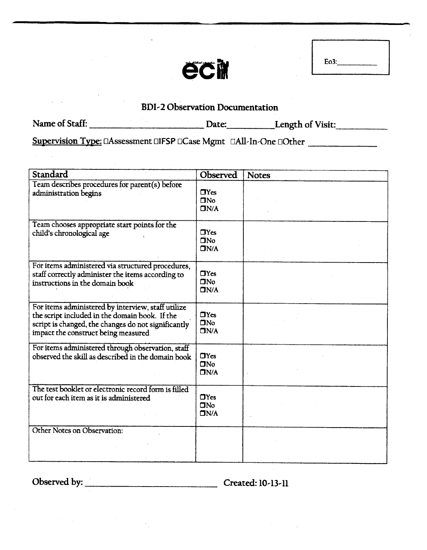

## BDI-2 Observation **Documentation**

Name of Staff: <u>Date: Length of Visit:</u>

Supervision Type: []Assessment []FSP []Case Mgmt []All-In-One []Other \_\_\_\_\_\_\_\_\_\_\_

| Standard                                                                                                                                                                                           | Observed                           | <b>Notes</b> |
|----------------------------------------------------------------------------------------------------------------------------------------------------------------------------------------------------|------------------------------------|--------------|
| Team describes procedures for parent(s) before<br>administration begins                                                                                                                            | $\Box$ Yes<br>$\Box$ No<br>DN/A    |              |
| Team chooses appropriate start points for the<br>child's chronological age                                                                                                                         | $\Box$ Yes<br>$\square$ No<br>DN/A |              |
| For items administered via structured procedures,<br>staff correctly administer the items according to<br>instructions in the domain book                                                          | $\Box$ Yes<br>$\square$ No<br>DN/A |              |
| For items administered by interview, staff utilize<br>the script included in the domain book. If the<br>script is changed, the changes do not significantly<br>impact the construct being measured | $\Box$ Yes<br>$\Box$ No<br>DN/A    |              |
| For items administered through observation, staff<br>observed the skill as described in the domain book                                                                                            | $\Box$ Yes<br>$\Box$ No<br>DN/A    |              |
| The test booklet or electronic record form is filled<br>out for each item as it is administered                                                                                                    | $\Box$ Yes<br>$\square$ No<br>DN/A |              |
| Other Notes on Observation:                                                                                                                                                                        |                                    |              |

Observed by: Created: 10-13-11